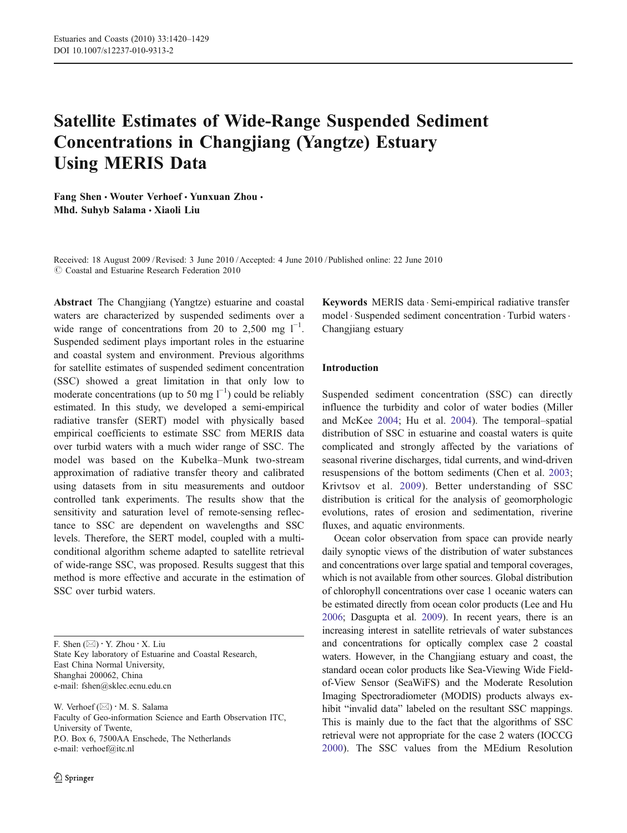# Satellite Estimates of Wide-Range Suspended Sediment Concentrations in Changjiang (Yangtze) Estuary Using MERIS Data

Fang Shen • Wouter Verhoef • Yunxuan Zhou • Mhd. Suhyb Salama · Xiaoli Liu

Received: 18 August 2009 /Revised: 3 June 2010 /Accepted: 4 June 2010 / Published online: 22 June 2010  $\odot$  Coastal and Estuarine Research Federation 2010

Abstract The Changjiang (Yangtze) estuarine and coastal waters are characterized by suspended sediments over a wide range of concentrations from 20 to 2,500 mg  $1^{-1}$ . Suspended sediment plays important roles in the estuarine and coastal system and environment. Previous algorithms for satellite estimates of suspended sediment concentration (SSC) showed a great limitation in that only low to moderate concentrations (up to 50 mg  $l^{-1}$ ) could be reliably estimated. In this study, we developed a semi-empirical radiative transfer (SERT) model with physically based empirical coefficients to estimate SSC from MERIS data over turbid waters with a much wider range of SSC. The model was based on the Kubelka–Munk two-stream approximation of radiative transfer theory and calibrated using datasets from in situ measurements and outdoor controlled tank experiments. The results show that the sensitivity and saturation level of remote-sensing reflectance to SSC are dependent on wavelengths and SSC levels. Therefore, the SERT model, coupled with a multiconditional algorithm scheme adapted to satellite retrieval of wide-range SSC, was proposed. Results suggest that this method is more effective and accurate in the estimation of SSC over turbid waters.

F. Shen  $(\boxtimes) \cdot Y$ . Zhou  $\cdot X$ . Liu State Key laboratory of Estuarine and Coastal Research, East China Normal University, Shanghai 200062, China e-mail: fshen@sklec.ecnu.edu.cn

W. Verhoef  $(\boxtimes) \cdot$  M. S. Salama Faculty of Geo-information Science and Earth Observation ITC, University of Twente, P.O. Box 6, 7500AA Enschede, The Netherlands e-mail: verhoef@itc.nl

Keywords MERIS data . Semi-empirical radiative transfer model . Suspended sediment concentration . Turbid waters. Changjiang estuary

## Introduction

Suspended sediment concentration (SSC) can directly influence the turbidity and color of water bodies (Miller and McKee [2004;](#page-9-0) Hu et al. [2004](#page-9-0)). The temporal–spatial distribution of SSC in estuarine and coastal waters is quite complicated and strongly affected by the variations of seasonal riverine discharges, tidal currents, and wind-driven resuspensions of the bottom sediments (Chen et al. [2003;](#page-8-0) Krivtsov et al. [2009\)](#page-9-0). Better understanding of SSC distribution is critical for the analysis of geomorphologic evolutions, rates of erosion and sedimentation, riverine fluxes, and aquatic environments.

Ocean color observation from space can provide nearly daily synoptic views of the distribution of water substances and concentrations over large spatial and temporal coverages, which is not available from other sources. Global distribution of chlorophyll concentrations over case 1 oceanic waters can be estimated directly from ocean color products (Lee and Hu [2006;](#page-9-0) Dasgupta et al. [2009](#page-8-0)). In recent years, there is an increasing interest in satellite retrievals of water substances and concentrations for optically complex case 2 coastal waters. However, in the Changjiang estuary and coast, the standard ocean color products like Sea-Viewing Wide Fieldof-View Sensor (SeaWiFS) and the Moderate Resolution Imaging Spectroradiometer (MODIS) products always exhibit "invalid data" labeled on the resultant SSC mappings. This is mainly due to the fact that the algorithms of SSC retrieval were not appropriate for the case 2 waters (IOCCG [2000](#page-9-0)). The SSC values from the MEdium Resolution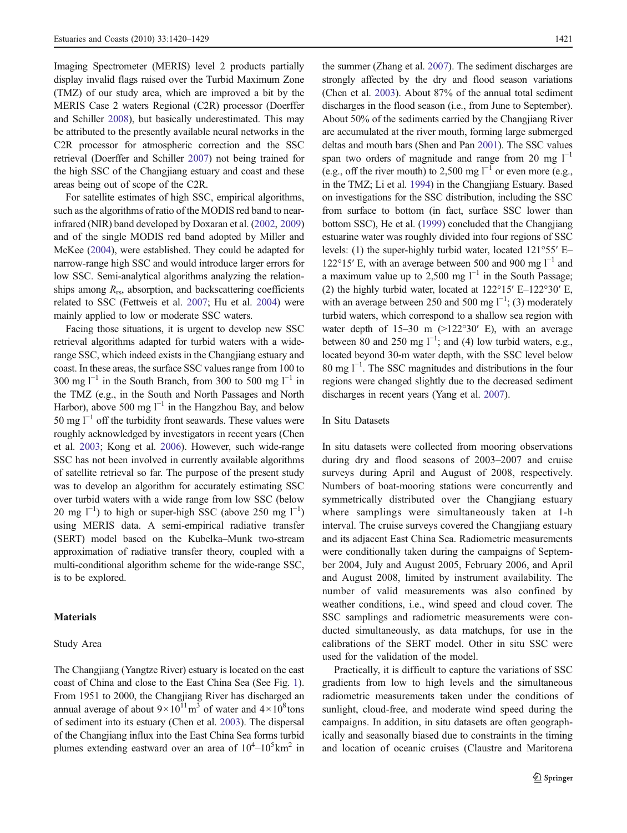Imaging Spectrometer (MERIS) level 2 products partially display invalid flags raised over the Turbid Maximum Zone (TMZ) of our study area, which are improved a bit by the MERIS Case 2 waters Regional (C2R) processor (Doerffer and Schiller [2008](#page-8-0)), but basically underestimated. This may be attributed to the presently available neural networks in the C2R processor for atmospheric correction and the SSC retrieval (Doerffer and Schiller [2007](#page-8-0)) not being trained for the high SSC of the Changjiang estuary and coast and these areas being out of scope of the C2R.

For satellite estimates of high SSC, empirical algorithms, such as the algorithms of ratio of the MODIS red band to nearinfrared (NIR) band developed by Doxaran et al. ([2002](#page-8-0), [2009\)](#page-8-0) and of the single MODIS red band adopted by Miller and McKee [\(2004\)](#page-9-0), were established. They could be adapted for narrow-range high SSC and would introduce larger errors for low SSC. Semi-analytical algorithms analyzing the relationships among  $R_{rs}$ , absorption, and backscattering coefficients related to SSC (Fettweis et al. [2007](#page-9-0); Hu et al. [2004](#page-9-0)) were mainly applied to low or moderate SSC waters.

Facing those situations, it is urgent to develop new SSC retrieval algorithms adapted for turbid waters with a widerange SSC, which indeed exists in the Changjiang estuary and coast. In these areas, the surface SSC values range from 100 to 300 mg  $l^{-1}$  in the South Branch, from 300 to 500 mg  $l^{-1}$  in the TMZ (e.g., in the South and North Passages and North Harbor), above 500 mg  $l^{-1}$  in the Hangzhou Bay, and below 50 mg  $l^{-1}$  off the turbidity front seawards. These values were roughly acknowledged by investigators in recent years (Chen et al. [2003](#page-8-0); Kong et al. [2006](#page-9-0)). However, such wide-range SSC has not been involved in currently available algorithms of satellite retrieval so far. The purpose of the present study was to develop an algorithm for accurately estimating SSC over turbid waters with a wide range from low SSC (below 20 mg  $l^{-1}$ ) to high or super-high SSC (above 250 mg  $l^{-1}$ ) using MERIS data. A semi-empirical radiative transfer (SERT) model based on the Kubelka–Munk two-stream approximation of radiative transfer theory, coupled with a multi-conditional algorithm scheme for the wide-range SSC, is to be explored.

## **Materials**

#### Study Area

The Changjiang (Yangtze River) estuary is located on the east coast of China and close to the East China Sea (See Fig. [1\)](#page-2-0). From 1951 to 2000, the Changjiang River has discharged an annual average of about  $9 \times 10^{11}$  m<sup>3</sup> of water and  $4 \times 10^8$  tons of sediment into its estuary (Chen et al. [2003](#page-8-0)). The dispersal of the Changjiang influx into the East China Sea forms turbid plumes extending eastward over an area of  $10^4 - 10^5$  km<sup>2</sup> in

the summer (Zhang et al. [2007\)](#page-9-0). The sediment discharges are strongly affected by the dry and flood season variations (Chen et al. [2003\)](#page-8-0). About 87% of the annual total sediment discharges in the flood season (i.e., from June to September). About 50% of the sediments carried by the Changjiang River are accumulated at the river mouth, forming large submerged deltas and mouth bars (Shen and Pan [2001](#page-9-0)). The SSC values span two orders of magnitude and range from 20 mg  $l^{-1}$ (e.g., off the river mouth) to 2,500 mg  $l^{-1}$  or even more (e.g., in the TMZ; Li et al. [1994\)](#page-9-0) in the Changjiang Estuary. Based on investigations for the SSC distribution, including the SSC from surface to bottom (in fact, surface SSC lower than bottom SSC), He et al. [\(1999\)](#page-9-0) concluded that the Changjiang estuarine water was roughly divided into four regions of SSC levels: (1) the super-highly turbid water, located 121°55′ E– 122°15′ E, with an average between 500 and 900 mg  $1^{-1}$  and a maximum value up to 2,500 mg  $l^{-1}$  in the South Passage; (2) the highly turbid water, located at 122°15′ E–122°30′ E, with an average between 250 and 500 mg  $l^{-1}$ ; (3) moderately turbid waters, which correspond to a shallow sea region with water depth of  $15-30$  m  $(>122°30'$  E), with an average between 80 and 250 mg  $l^{-1}$ ; and (4) low turbid waters, e.g., located beyond 30-m water depth, with the SSC level below 80 mg l−<sup>1</sup> . The SSC magnitudes and distributions in the four regions were changed slightly due to the decreased sediment discharges in recent years (Yang et al. [2007](#page-9-0)).

#### In Situ Datasets

In situ datasets were collected from mooring observations during dry and flood seasons of 2003–2007 and cruise surveys during April and August of 2008, respectively. Numbers of boat-mooring stations were concurrently and symmetrically distributed over the Changjiang estuary where samplings were simultaneously taken at 1-h interval. The cruise surveys covered the Changjiang estuary and its adjacent East China Sea. Radiometric measurements were conditionally taken during the campaigns of September 2004, July and August 2005, February 2006, and April and August 2008, limited by instrument availability. The number of valid measurements was also confined by weather conditions, i.e., wind speed and cloud cover. The SSC samplings and radiometric measurements were conducted simultaneously, as data matchups, for use in the calibrations of the SERT model. Other in situ SSC were used for the validation of the model.

Practically, it is difficult to capture the variations of SSC gradients from low to high levels and the simultaneous radiometric measurements taken under the conditions of sunlight, cloud-free, and moderate wind speed during the campaigns. In addition, in situ datasets are often geographically and seasonally biased due to constraints in the timing and location of oceanic cruises (Claustre and Maritorena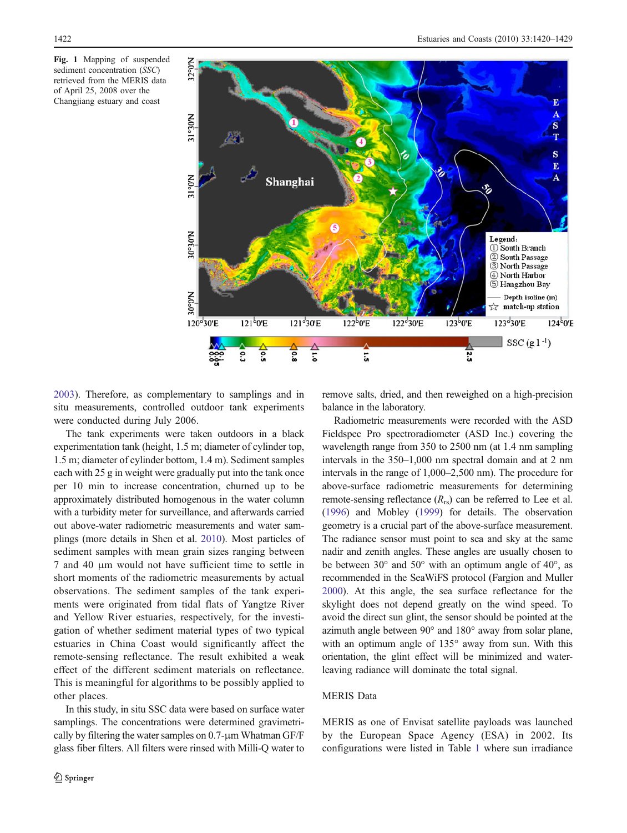<span id="page-2-0"></span>Fig. 1 Mapping of suspended sediment concentration (SSC) retrieved from the MERIS data of April 25, 2008 over the Changjiang estuary and coast



[2003\)](#page-8-0). Therefore, as complementary to samplings and in situ measurements, controlled outdoor tank experiments were conducted during July 2006.

The tank experiments were taken outdoors in a black experimentation tank (height, 1.5 m; diameter of cylinder top, 1.5 m; diameter of cylinder bottom, 1.4 m). Sediment samples each with 25 g in weight were gradually put into the tank once per 10 min to increase concentration, churned up to be approximately distributed homogenous in the water column with a turbidity meter for surveillance, and afterwards carried out above-water radiometric measurements and water samplings (more details in Shen et al. [2010\)](#page-9-0). Most particles of sediment samples with mean grain sizes ranging between 7 and 40 μm would not have sufficient time to settle in short moments of the radiometric measurements by actual observations. The sediment samples of the tank experiments were originated from tidal flats of Yangtze River and Yellow River estuaries, respectively, for the investigation of whether sediment material types of two typical estuaries in China Coast would significantly affect the remote-sensing reflectance. The result exhibited a weak effect of the different sediment materials on reflectance. This is meaningful for algorithms to be possibly applied to other places.

In this study, in situ SSC data were based on surface water samplings. The concentrations were determined gravimetrically by filtering the water samples on 0.7-μm Whatman GF/F glass fiber filters. All filters were rinsed with Milli-Q water to remove salts, dried, and then reweighed on a high-precision balance in the laboratory.

Radiometric measurements were recorded with the ASD Fieldspec Pro spectroradiometer (ASD Inc.) covering the wavelength range from 350 to 2500 nm (at 1.4 nm sampling intervals in the 350–1,000 nm spectral domain and at 2 nm intervals in the range of 1,000–2,500 nm). The procedure for above-surface radiometric measurements for determining remote-sensing reflectance  $(R_{rs})$  can be referred to Lee et al. [\(1996\)](#page-9-0) and Mobley [\(1999\)](#page-9-0) for details. The observation geometry is a crucial part of the above-surface measurement. The radiance sensor must point to sea and sky at the same nadir and zenith angles. These angles are usually chosen to be between  $30^{\circ}$  and  $50^{\circ}$  with an optimum angle of  $40^{\circ}$ , as recommended in the SeaWiFS protocol (Fargion and Muller [2000\)](#page-8-0). At this angle, the sea surface reflectance for the skylight does not depend greatly on the wind speed. To avoid the direct sun glint, the sensor should be pointed at the azimuth angle between 90° and 180° away from solar plane, with an optimum angle of 135° away from sun. With this orientation, the glint effect will be minimized and waterleaving radiance will dominate the total signal.

## MERIS Data

MERIS as one of Envisat satellite payloads was launched by the European Space Agency (ESA) in 2002. Its configurations were listed in Table [1](#page-3-0) where sun irradiance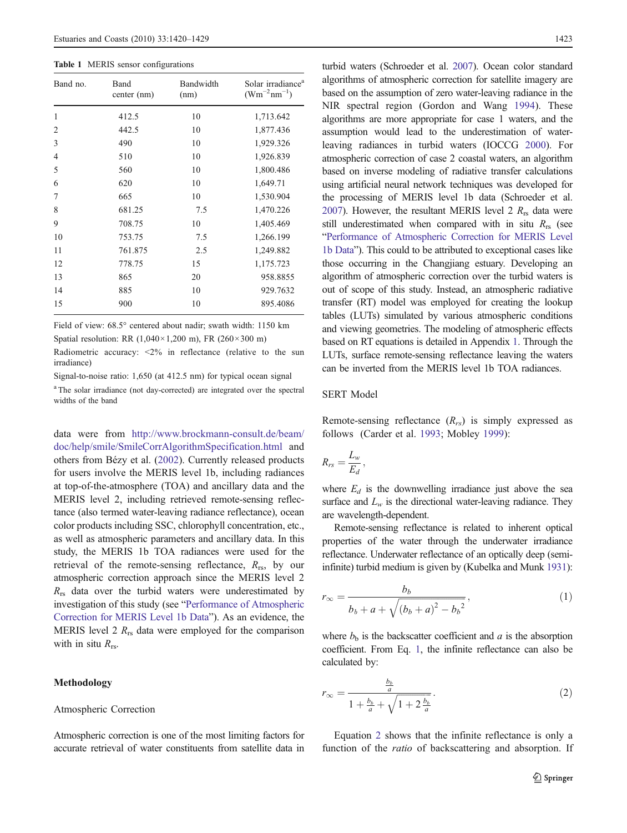<span id="page-3-0"></span>Table 1 MERIS sensor configurations

| Band no.       | Band<br>center (nm) | Bandwidth<br>(nm) | Solar irradiance <sup>a</sup><br>$(Wm^{-2}nm^{-1})$ |
|----------------|---------------------|-------------------|-----------------------------------------------------|
| 1              | 412.5               | 10                | 1,713.642                                           |
| $\overline{2}$ | 442.5               | 10                | 1,877.436                                           |
| 3              | 490                 | 10                | 1,929.326                                           |
| $\overline{4}$ | 510                 | 10                | 1,926.839                                           |
| 5              | 560                 | 10                | 1,800.486                                           |
| 6              | 620                 | 10                | 1,649.71                                            |
| 7              | 665                 | 10                | 1,530.904                                           |
| 8              | 681.25              | 7.5               | 1,470.226                                           |
| 9              | 708.75              | 10                | 1,405.469                                           |
| 10             | 753.75              | 7.5               | 1,266.199                                           |
| 11             | 761.875             | 2.5               | 1,249.882                                           |
| 12             | 778.75              | 15                | 1,175.723                                           |
| 13             | 865                 | 20                | 958.8855                                            |
| 14             | 885                 | 10                | 929.7632                                            |
| 15             | 900                 | 10                | 895.4086                                            |

Field of view: 68.5° centered about nadir; swath width: 1150 km

Spatial resolution: RR  $(1,040 \times 1,200 \text{ m})$ , FR  $(260 \times 300 \text{ m})$ 

Radiometric accuracy: <2% in reflectance (relative to the sun irradiance)

Signal-to-noise ratio: 1,650 (at 412.5 nm) for typical ocean signal

<sup>a</sup> The solar irradiance (not day-corrected) are integrated over the spectral widths of the band

data were from [http://www.brockmann-consult.de/beam/](http://www.brockmann-consult.de/beam/doc/help/smile/SmileCorrAlgorithmSpecification.html) [doc/help/smile/SmileCorrAlgorithmSpecification.html](http://www.brockmann-consult.de/beam/doc/help/smile/SmileCorrAlgorithmSpecification.html) and others from Bézy et al. ([2002\)](#page-8-0). Currently released products for users involve the MERIS level 1b, including radiances at top-of-the-atmosphere (TOA) and ancillary data and the MERIS level 2, including retrieved remote-sensing reflectance (also termed water-leaving radiance reflectance), ocean color products including SSC, chlorophyll concentration, etc., as well as atmospheric parameters and ancillary data. In this study, the MERIS 1b TOA radiances were used for the retrieval of the remote-sensing reflectance,  $R_{rs}$ , by our atmospheric correction approach since the MERIS level 2  $R_{rs}$  data over the turbid waters were underestimated by investigation of this study (see "[Performance of Atmospheric](#page-4-0) [Correction for MERIS Level 1b Data](#page-4-0)"). As an evidence, the MERIS level 2  $R_{rs}$  data were employed for the comparison with in situ  $R_{rs}$ .

## Methodology

#### Atmospheric Correction

Atmospheric correction is one of the most limiting factors for accurate retrieval of water constituents from satellite data in

turbid waters (Schroeder et al. [2007](#page-9-0)). Ocean color standard algorithms of atmospheric correction for satellite imagery are based on the assumption of zero water-leaving radiance in the NIR spectral region (Gordon and Wang [1994](#page-9-0)). These algorithms are more appropriate for case 1 waters, and the assumption would lead to the underestimation of waterleaving radiances in turbid waters (IOCCG [2000\)](#page-9-0). For atmospheric correction of case 2 coastal waters, an algorithm based on inverse modeling of radiative transfer calculations using artificial neural network techniques was developed for the processing of MERIS level 1b data (Schroeder et al. [2007](#page-9-0)). However, the resultant MERIS level 2  $R_{rs}$  data were still underestimated when compared with in situ  $R_{rs}$  (see "[Performance of Atmospheric Correction for MERIS Level](#page-4-0) [1b Data](#page-4-0)"). This could to be attributed to exceptional cases like those occurring in the Changjiang estuary. Developing an algorithm of atmospheric correction over the turbid waters is out of scope of this study. Instead, an atmospheric radiative transfer (RT) model was employed for creating the lookup tables (LUTs) simulated by various atmospheric conditions and viewing geometries. The modeling of atmospheric effects based on RT equations is detailed in Appendix [1.](#page-7-0) Through the LUTs, surface remote-sensing reflectance leaving the waters can be inverted from the MERIS level 1b TOA radiances.

#### SERT Model

Remote-sensing reflectance  $(R_{rs})$  is simply expressed as follows (Carder et al. [1993;](#page-8-0) Mobley [1999\)](#page-9-0):

$$
R_{rs}=\frac{L_w}{E_d},
$$

where  $E_d$  is the downwelling irradiance just above the sea surface and  $L_w$  is the directional water-leaving radiance. They are wavelength-dependent.

Remote-sensing reflectance is related to inherent optical properties of the water through the underwater irradiance reflectance. Underwater reflectance of an optically deep (semiinfinite) turbid medium is given by (Kubelka and Munk [1931\)](#page-9-0):

$$
r_{\infty} = \frac{b_b}{b_b + a + \sqrt{(b_b + a)^2 - b_b^2}},
$$
\n(1)

where  $b<sub>b</sub>$  is the backscatter coefficient and  $a$  is the absorption coefficient. From Eq. 1, the infinite reflectance can also be calculated by:

$$
r_{\infty} = \frac{\frac{b_b}{a}}{1 + \frac{b_b}{a} + \sqrt{1 + 2\frac{b_b}{a}}}.
$$
 (2)

Equation 2 shows that the infinite reflectance is only a function of the *ratio* of backscattering and absorption. If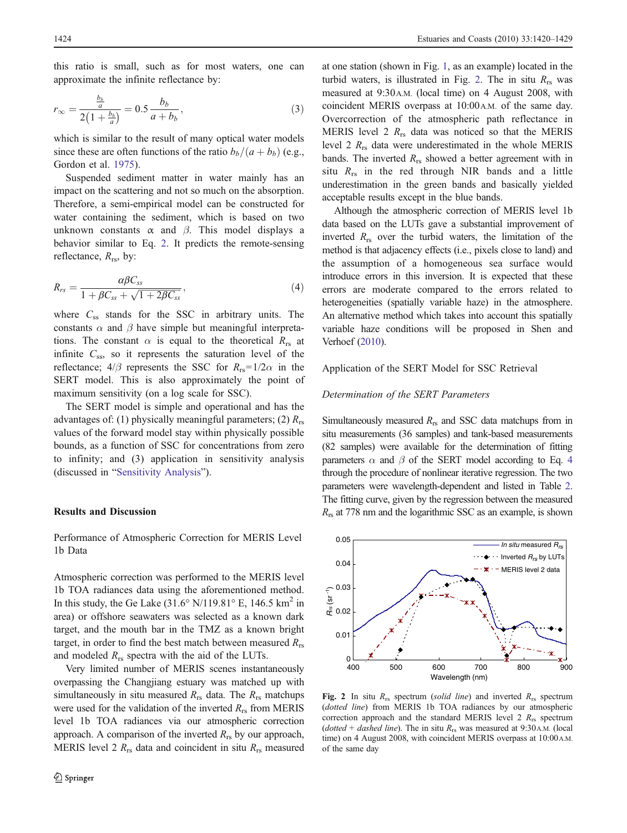<span id="page-4-0"></span>this ratio is small, such as for most waters, one can approximate the infinite reflectance by:

$$
r_{\infty} = \frac{\frac{b_b}{a}}{2\left(1 + \frac{b_b}{a}\right)} = 0.5 \frac{b_b}{a + b_b},\tag{3}
$$

which is similar to the result of many optical water models since these are often functions of the ratio  $b_b/(a + b_b)$  (e.g., Gordon et al. [1975\)](#page-9-0).

Suspended sediment matter in water mainly has an impact on the scattering and not so much on the absorption. Therefore, a semi-empirical model can be constructed for water containing the sediment, which is based on two unknown constants  $\alpha$  and  $\beta$ . This model displays a behavior similar to Eq. [2](#page-3-0). It predicts the remote-sensing reflectance,  $R_{rs}$ , by:

$$
R_{rs} = \frac{\alpha \beta C_{ss}}{1 + \beta C_{ss} + \sqrt{1 + 2\beta C_{ss}}},\tag{4}
$$

where  $C_{ss}$  stands for the SSC in arbitrary units. The constants  $\alpha$  and  $\beta$  have simple but meaningful interpretations. The constant  $\alpha$  is equal to the theoretical  $R_{rs}$  at infinite  $C_{ss}$ , so it represents the saturation level of the reflectance;  $4/\beta$  represents the SSC for  $R_{rs} = 1/2\alpha$  in the SERT model. This is also approximately the point of maximum sensitivity (on a log scale for SSC).

The SERT model is simple and operational and has the advantages of: (1) physically meaningful parameters; (2)  $R_{rs}$ values of the forward model stay within physically possible bounds, as a function of SSC for concentrations from zero to infinity; and (3) application in sensitivity analysis (discussed in "[Sensitivity Analysis](#page-5-0)").

#### Results and Discussion

Performance of Atmospheric Correction for MERIS Level 1b Data

Atmospheric correction was performed to the MERIS level 1b TOA radiances data using the aforementioned method. In this study, the Ge Lake  $(31.6°\text{ N}/119.81°\text{ E}, 146.5 \text{ km}^2 \text{ in}$ area) or offshore seawaters was selected as a known dark target, and the mouth bar in the TMZ as a known bright target, in order to find the best match between measured  $R_{rs}$ and modeled  $R_{rs}$  spectra with the aid of the LUTs.

Very limited number of MERIS scenes instantaneously overpassing the Changjiang estuary was matched up with simultaneously in situ measured  $R_{rs}$  data. The  $R_{rs}$  matchups were used for the validation of the inverted  $R_{rs}$  from MERIS level 1b TOA radiances via our atmospheric correction approach. A comparison of the inverted  $R_{rs}$  by our approach, MERIS level 2  $R_{rs}$  data and coincident in situ  $R_{rs}$  measured

at one station (shown in Fig. [1](#page-2-0), as an example) located in the turbid waters, is illustrated in Fig. 2. The in situ  $R_{rs}$  was measured at 9:30A.M. (local time) on 4 August 2008, with coincident MERIS overpass at 10:00A.M. of the same day. Overcorrection of the atmospheric path reflectance in MERIS level 2  $R_{rs}$  data was noticed so that the MERIS level 2  $R_{rs}$  data were underestimated in the whole MERIS bands. The inverted  $R_{rs}$  showed a better agreement with in situ  $R_{rs}$  in the red through NIR bands and a little underestimation in the green bands and basically yielded acceptable results except in the blue bands.

Although the atmospheric correction of MERIS level 1b data based on the LUTs gave a substantial improvement of inverted  $R_{rs}$  over the turbid waters, the limitation of the method is that adjacency effects (i.e., pixels close to land) and the assumption of a homogeneous sea surface would introduce errors in this inversion. It is expected that these errors are moderate compared to the errors related to heterogeneities (spatially variable haze) in the atmosphere. An alternative method which takes into account this spatially variable haze conditions will be proposed in Shen and Verhoef ([2010\)](#page-9-0).

#### Application of the SERT Model for SSC Retrieval

#### Determination of the SERT Parameters

Simultaneously measured  $R_{rs}$  and SSC data matchups from in situ measurements (36 samples) and tank-based measurements (82 samples) were available for the determination of fitting parameters  $\alpha$  and  $\beta$  of the SERT model according to Eq. 4 through the procedure of nonlinear iterative regression. The two parameters were wavelength-dependent and listed in Table [2.](#page-5-0) The fitting curve, given by the regression between the measured  $R_{rs}$  at 778 nm and the logarithmic SSC as an example, is shown



Fig. 2 In situ  $R_{rs}$  spectrum (solid line) and inverted  $R_{rs}$  spectrum (dotted line) from MERIS 1b TOA radiances by our atmospheric correction approach and the standard MERIS level  $2 R_{rs}$  spectrum (dotted + dashed line). The in situ  $R_{rs}$  was measured at 9:30 A.M. (local time) on 4 August 2008, with coincident MERIS overpass at 10:00 A.M. of the same day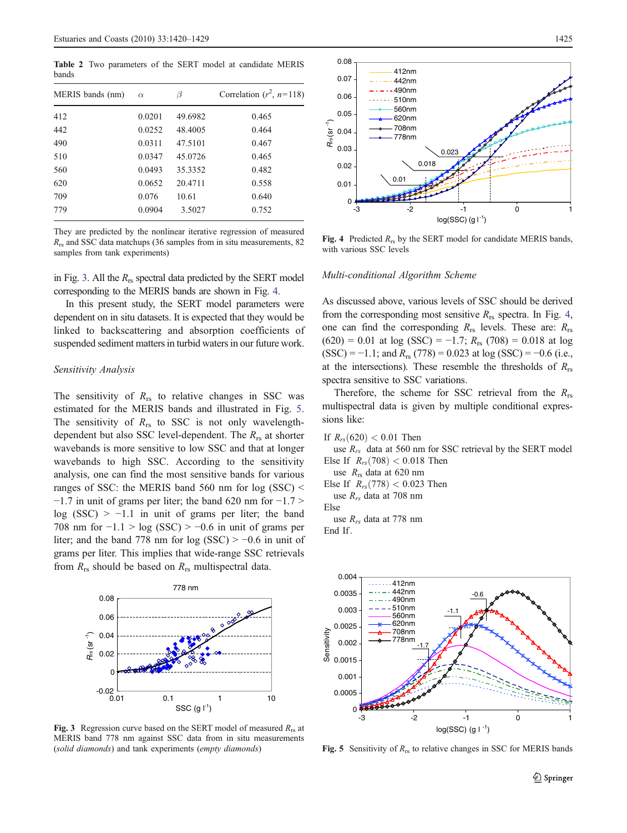<span id="page-5-0"></span>Table 2 Two parameters of the SERT model at candidate MERIS bands

| MERIS bands (nm) | $\alpha$ | ß       | Correlation $(r^2, n=118)$ |
|------------------|----------|---------|----------------------------|
| 412              | 0.0201   | 49.6982 | 0.465                      |
| 442              | 0.0252   | 48.4005 | 0.464                      |
| 490              | 0.0311   | 47.5101 | 0.467                      |
| 510              | 0.0347   | 45.0726 | 0.465                      |
| 560              | 0.0493   | 35.3352 | 0.482                      |
| 620              | 0.0652   | 20.4711 | 0.558                      |
| 709              | 0.076    | 10.61   | 0.640                      |
| 779              | 0.0904   | 3.5027  | 0.752                      |

They are predicted by the nonlinear iterative regression of measured  $R_{rs}$  and SSC data matchups (36 samples from in situ measurements, 82 samples from tank experiments)

in Fig. 3. All the  $R_{rs}$  spectral data predicted by the SERT model corresponding to the MERIS bands are shown in Fig. 4.

In this present study, the SERT model parameters were dependent on in situ datasets. It is expected that they would be linked to backscattering and absorption coefficients of suspended sediment matters in turbid waters in our future work.

#### Sensitivity Analysis

The sensitivity of  $R_{rs}$  to relative changes in SSC was estimated for the MERIS bands and illustrated in Fig. 5. The sensitivity of  $R_{rs}$  to SSC is not only wavelengthdependent but also SSC level-dependent. The  $R_{rs}$  at shorter wavebands is more sensitive to low SSC and that at longer wavebands to high SSC. According to the sensitivity analysis, one can find the most sensitive bands for various ranges of SSC: the MERIS band 560 nm for log (SSC) <  $-1.7$  in unit of grams per liter; the band 620 nm for  $-1.7$  > log (SSC) >  $-1.1$  in unit of grams per liter; the band 708 nm for  $-1.1 > log (SSC) > -0.6$  in unit of grams per liter; and the band 778 nm for log (SSC) > −0.6 in unit of grams per liter. This implies that wide-range SSC retrievals from  $R_{rs}$  should be based on  $R_{rs}$  multispectral data.



Fig. 3 Regression curve based on the SERT model of measured  $R_{rs}$  at MERIS band 778 nm against SSC data from in situ measurements (solid diamonds) and tank experiments (empty diamonds)



Fig. 4 Predicted  $R_{rs}$  by the SERT model for candidate MERIS bands, with various SSC levels

#### Multi-conditional Algorithm Scheme

As discussed above, various levels of SSC should be derived from the corresponding most sensitive  $R_{rs}$  spectra. In Fig. 4, one can find the corresponding  $R_{rs}$  levels. These are:  $R_{rs}$  $(620) = 0.01$  at log (SSC) = -1.7;  $R_{rs}$  (708) = 0.018 at log  $(SSC) = -1.1$ ; and  $R_{rs}$  (778) = 0.023 at log (SSC) = -0.6 (i.e., at the intersections). These resemble the thresholds of  $R_{rs}$ spectra sensitive to SSC variations.

Therefore, the scheme for SSC retrieval from the  $R_{rs}$ multispectral data is given by multiple conditional expressions like:

If 
$$
R_{rs}(620) < 0.01
$$
 Then

use  $R_{rs}$  data at 560 nm for SSC retrieval by the SERT model Else If  $R_{rs}(708) < 0.018$  Then

use  $R_{rs}$  data at 620 nm

Else If  $R_{rs}(778) < 0.023$  Then use  $R_{rs}$  data at 708 nm

Else

use  $R_{rs}$  data at 778 nm End If:



**Fig. 5** Sensitivity of  $R_{rs}$  to relative changes in SSC for MERIS bands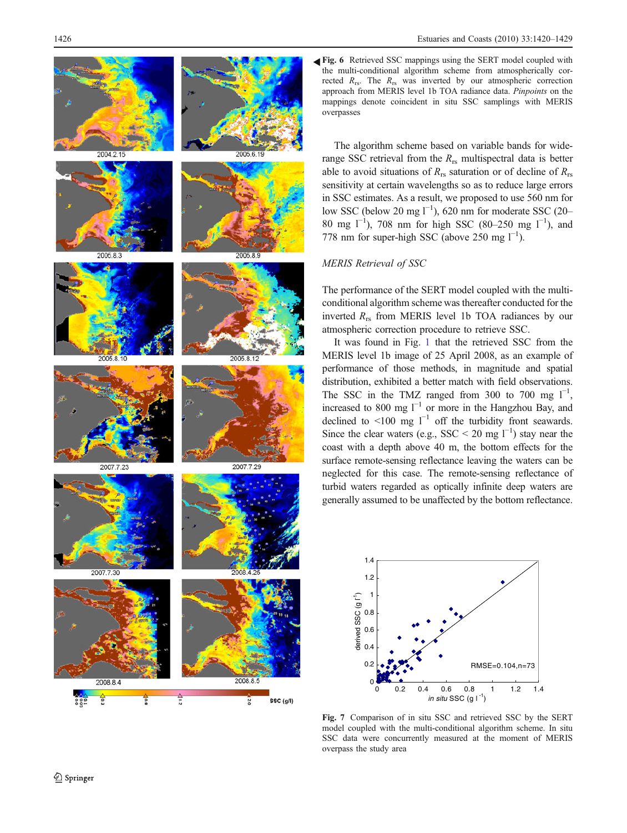<span id="page-6-0"></span>

Fig. 6 Retrieved SSC mappings using the SERT model coupled with the multi-conditional algorithm scheme from atmospherically corrected  $R_{rs}$ . The  $R_{rs}$  was inverted by our atmospheric correction approach from MERIS level 1b TOA radiance data. Pinpoints on the mappings denote coincident in situ SSC samplings with MERIS overpasses

The algorithm scheme based on variable bands for widerange SSC retrieval from the  $R_{rs}$  multispectral data is better able to avoid situations of  $R_{rs}$  saturation or of decline of  $R_{rs}$ sensitivity at certain wavelengths so as to reduce large errors in SSC estimates. As a result, we proposed to use 560 nm for low SSC (below 20 mg  $I^{-1}$ ), 620 nm for moderate SSC (20– 80 mg  $1^{-1}$ ), 708 nm for high SSC (80-250 mg  $1^{-1}$ ), and 778 nm for super-high SSC (above 250 mg  $l^{-1}$ ).

## MERIS Retrieval of SSC

The performance of the SERT model coupled with the multiconditional algorithm scheme was thereafter conducted for the inverted  $R_{rs}$  from MERIS level 1b TOA radiances by our atmospheric correction procedure to retrieve SSC.

It was found in Fig. [1](#page-2-0) that the retrieved SSC from the MERIS level 1b image of 25 April 2008, as an example of performance of those methods, in magnitude and spatial distribution, exhibited a better match with field observations. The SSC in the TMZ ranged from 300 to 700 mg  $1^{-1}$ , increased to 800 mg  $l^{-1}$  or more in the Hangzhou Bay, and declined to <100 mg  $l^{-1}$  off the turbidity front seawards. Since the clear waters (e.g., SSC < 20 mg  $1^{-1}$ ) stay near the coast with a depth above 40 m, the bottom effects for the surface remote-sensing reflectance leaving the waters can be neglected for this case. The remote-sensing reflectance of turbid waters regarded as optically infinite deep waters are generally assumed to be unaffected by the bottom reflectance.



Fig. 7 Comparison of in situ SSC and retrieved SSC by the SERT model coupled with the multi-conditional algorithm scheme. In situ SSC data were concurrently measured at the moment of MERIS overpass the study area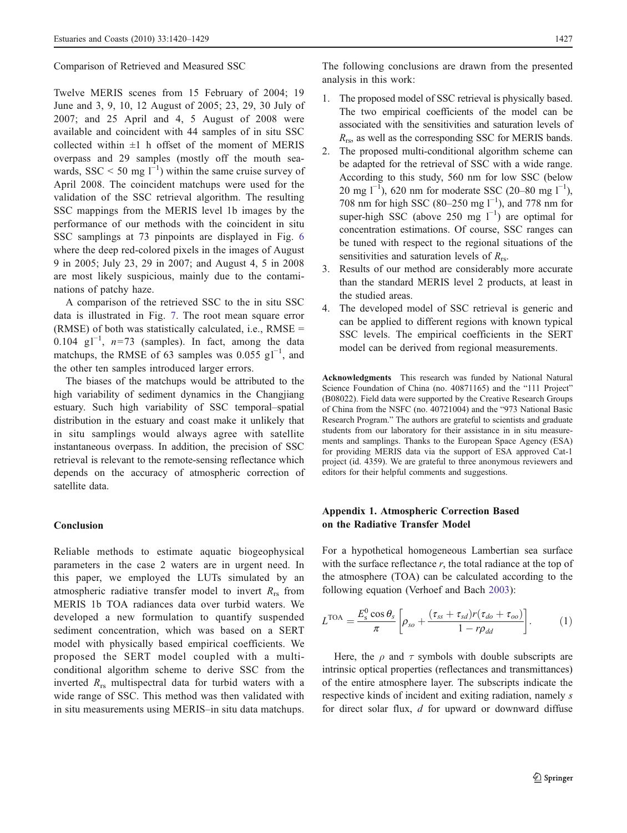<span id="page-7-0"></span>Comparison of Retrieved and Measured SSC

Twelve MERIS scenes from 15 February of 2004; 19 June and 3, 9, 10, 12 August of 2005; 23, 29, 30 July of 2007; and 25 April and 4, 5 August of 2008 were available and coincident with 44 samples of in situ SSC collected within  $\pm 1$  h offset of the moment of MERIS overpass and 29 samples (mostly off the mouth seawards, SSC < 50 mg  $l^{-1}$ ) within the same cruise survey of April 2008. The coincident matchups were used for the validation of the SSC retrieval algorithm. The resulting SSC mappings from the MERIS level 1b images by the performance of our methods with the coincident in situ SSC samplings at 73 pinpoints are displayed in Fig. [6](#page-6-0) where the deep red-colored pixels in the images of August 9 in 2005; July 23, 29 in 2007; and August 4, 5 in 2008 are most likely suspicious, mainly due to the contaminations of patchy haze.

A comparison of the retrieved SSC to the in situ SSC data is illustrated in Fig. [7](#page-6-0). The root mean square error (RMSE) of both was statistically calculated, i.e., RMSE = 0.104  $g1^{-1}$ , n=73 (samples). In fact, among the data matchups, the RMSE of 63 samples was 0.055  $gl^{-1}$ , and the other ten samples introduced larger errors.

The biases of the matchups would be attributed to the high variability of sediment dynamics in the Changjiang estuary. Such high variability of SSC temporal–spatial distribution in the estuary and coast make it unlikely that in situ samplings would always agree with satellite instantaneous overpass. In addition, the precision of SSC retrieval is relevant to the remote-sensing reflectance which depends on the accuracy of atmospheric correction of satellite data.

## Conclusion

Reliable methods to estimate aquatic biogeophysical parameters in the case 2 waters are in urgent need. In this paper, we employed the LUTs simulated by an atmospheric radiative transfer model to invert  $R_{rs}$  from MERIS 1b TOA radiances data over turbid waters. We developed a new formulation to quantify suspended sediment concentration, which was based on a SERT model with physically based empirical coefficients. We proposed the SERT model coupled with a multiconditional algorithm scheme to derive SSC from the inverted  $R_{rs}$  multispectral data for turbid waters with a wide range of SSC. This method was then validated with in situ measurements using MERIS–in situ data matchups.

The following conclusions are drawn from the presented analysis in this work:

- 1. The proposed model of SSC retrieval is physically based. The two empirical coefficients of the model can be associated with the sensitivities and saturation levels of  $R_{rs}$ , as well as the corresponding SSC for MERIS bands.
- 2. The proposed multi-conditional algorithm scheme can be adapted for the retrieval of SSC with a wide range. According to this study, 560 nm for low SSC (below 20 mg l<sup>−1</sup>), 620 nm for moderate SSC (20–80 mg l<sup>−1</sup>), 708 nm for high SSC (80–250 mg  $l^{-1}$ ), and 778 nm for super-high SSC (above 250 mg  $l^{-1}$ ) are optimal for concentration estimations. Of course, SSC ranges can be tuned with respect to the regional situations of the sensitivities and saturation levels of  $R_{rs}$ .
- 3. Results of our method are considerably more accurate than the standard MERIS level 2 products, at least in the studied areas.
- 4. The developed model of SSC retrieval is generic and can be applied to different regions with known typical SSC levels. The empirical coefficients in the SERT model can be derived from regional measurements.

Acknowledgments This research was funded by National Natural Science Foundation of China (no. 40871165) and the "111 Project" (B08022). Field data were supported by the Creative Research Groups of China from the NSFC (no. 40721004) and the "973 National Basic Research Program." The authors are grateful to scientists and graduate students from our laboratory for their assistance in in situ measurements and samplings. Thanks to the European Space Agency (ESA) for providing MERIS data via the support of ESA approved Cat-1 project (id. 4359). We are grateful to three anonymous reviewers and editors for their helpful comments and suggestions.

## Appendix 1. Atmospheric Correction Based on the Radiative Transfer Model

For a hypothetical homogeneous Lambertian sea surface with the surface reflectance  $r$ , the total radiance at the top of the atmosphere (TOA) can be calculated according to the following equation (Verhoef and Bach [2003](#page-9-0)):

$$
L^{\text{TOA}} = \frac{E_{\text{s}}^0 \cos \theta_s}{\pi} \left[ \rho_{so} + \frac{(\tau_{ss} + \tau_{sd})r(\tau_{do} + \tau_{oo})}{1 - r\rho_{dd}} \right]. \tag{1}
$$

Here, the  $\rho$  and  $\tau$  symbols with double subscripts are intrinsic optical properties (reflectances and transmittances) of the entire atmosphere layer. The subscripts indicate the respective kinds of incident and exiting radiation, namely s for direct solar flux, d for upward or downward diffuse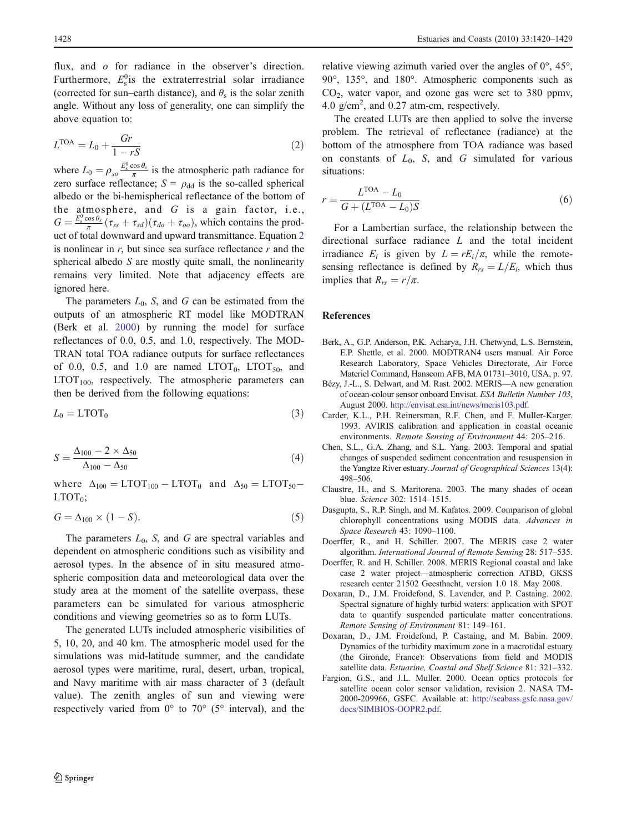<span id="page-8-0"></span>flux, and o for radiance in the observer's direction. Furthermore,  $E_s^0$  is the extraterrestrial solar irradiance (corrected for sun–earth distance), and  $\theta_s$  is the solar zenith angle. Without any loss of generality, one can simplify the above equation to:

$$
LTOA = L0 + \frac{Gr}{1 - rS}
$$
 (2)

where  $L_0 = \rho_{so} \frac{E_s^0 \cos \theta_s}{\pi}$  is the atmospheric path radiance for zero surface reflectance;  $S = \rho_{dd}$  is the so-called spherical albedo or the bi-hemispherical reflectance of the bottom of the atmosphere, and  $G$  is a gain factor, i.e.,  $G = \frac{E_s^0 \cos \theta_s}{\pi} (\tau_{ss} + \tau_{sd}) (\tau_{do} + \tau_{oo}),$  which contains the product of total downward and upward transmittance. Equation 2 is nonlinear in  $r$ , but since sea surface reflectance  $r$  and the spherical albedo S are mostly quite small, the nonlinearity remains very limited. Note that adjacency effects are ignored here.

The parameters  $L_0$ , S, and G can be estimated from the outputs of an atmospheric RT model like MODTRAN (Berk et al. 2000) by running the model for surface reflectances of 0.0, 0.5, and 1.0, respectively. The MOD-TRAN total TOA radiance outputs for surface reflectances of 0.0, 0.5, and 1.0 are named  $LTOT<sub>0</sub>$ ,  $LTOT<sub>50</sub>$ , and  $LTOT<sub>100</sub>$ , respectively. The atmospheric parameters can then be derived from the following equations:

$$
L_0 = \text{LTOT}_0 \tag{3}
$$

$$
S = \frac{\Delta_{100} - 2 \times \Delta_{50}}{\Delta_{100} - \Delta_{50}}\tag{4}
$$

where  $\Delta_{100} = \text{LTOT}_{100} - \text{LTOT}_{0}$  and  $\Delta_{50} = \text{LTOT}_{50} LTOT<sub>0</sub>$ ;

$$
G = \Delta_{100} \times (1 - S). \tag{5}
$$

The parameters  $L_0$ , S, and G are spectral variables and dependent on atmospheric conditions such as visibility and aerosol types. In the absence of in situ measured atmospheric composition data and meteorological data over the study area at the moment of the satellite overpass, these parameters can be simulated for various atmospheric conditions and viewing geometries so as to form LUTs.

The generated LUTs included atmospheric visibilities of 5, 10, 20, and 40 km. The atmospheric model used for the simulations was mid-latitude summer, and the candidate aerosol types were maritime, rural, desert, urban, tropical, and Navy maritime with air mass character of 3 (default value). The zenith angles of sun and viewing were respectively varied from 0° to 70° (5° interval), and the relative viewing azimuth varied over the angles of 0°, 45°, 90°, 135°, and 180°. Atmospheric components such as  $CO<sub>2</sub>$ , water vapor, and ozone gas were set to 380 ppmv, 4.0  $g/cm<sup>2</sup>$ , and 0.27 atm-cm, respectively.

The created LUTs are then applied to solve the inverse problem. The retrieval of reflectance (radiance) at the bottom of the atmosphere from TOA radiance was based on constants of  $L_0$ , S, and G simulated for various situations:

$$
r = \frac{L^{\text{TOA}} - L_0}{G + (L^{\text{TOA}} - L_0)S} \tag{6}
$$

For a Lambertian surface, the relationship between the directional surface radiance L and the total incident irradiance  $E_i$  is given by  $L = rE_i/\pi$ , while the remotesensing reflectance is defined by  $R_{rs} = L/E_i$ , which thus implies that  $R_{rs} = r/\pi$ .

#### References

- Berk, A., G.P. Anderson, P.K. Acharya, J.H. Chetwynd, L.S. Bernstein, E.P. Shettle, et al. 2000. MODTRAN4 users manual. Air Force Research Laboratory, Space Vehicles Directorate, Air Force Materiel Command, Hanscom AFB, MA 01731–3010, USA, p. 97.
- Bézy, J.-L., S. Delwart, and M. Rast. 2002. MERIS—A new generation of ocean-colour sensor onboard Envisat. ESA Bulletin Number 103, August 2000. [http://envisat.esa.int/news/meris103.pdf.](http://envisat.esa.int/news/meris103.pdf)
- Carder, K.L., P.H. Reinersman, R.F. Chen, and F. Muller-Karger. 1993. AVIRIS calibration and application in coastal oceanic environments. Remote Sensing of Environment 44: 205–216.
- Chen, S.L., G.A. Zhang, and S.L. Yang. 2003. Temporal and spatial changes of suspended sediment concentration and resuspension in the Yangtze River estuary. Journal of Geographical Sciences 13(4): 498–506.
- Claustre, H., and S. Maritorena. 2003. The many shades of ocean blue. Science 302: 1514–1515.
- Dasgupta, S., R.P. Singh, and M. Kafatos. 2009. Comparison of global chlorophyll concentrations using MODIS data. Advances in Space Research 43: 1090–1100.
- Doerffer, R., and H. Schiller. 2007. The MERIS case 2 water algorithm. International Journal of Remote Sensing 28: 517–535.
- Doerffer, R. and H. Schiller. 2008. MERIS Regional coastal and lake case 2 water project—atmospheric correction ATBD, GKSS research center 21502 Geesthacht, version 1.0 18. May 2008.
- Doxaran, D., J.M. Froidefond, S. Lavender, and P. Castaing. 2002. Spectral signature of highly turbid waters: application with SPOT data to quantify suspended particulate matter concentrations. Remote Sensing of Environment 81: 149–161.
- Doxaran, D., J.M. Froidefond, P. Castaing, and M. Babin. 2009. Dynamics of the turbidity maximum zone in a macrotidal estuary (the Gironde, France): Observations from field and MODIS satellite data. Estuarine, Coastal and Shelf Science 81: 321–332.
- Fargion, G.S., and J.L. Muller. 2000. Ocean optics protocols for satellite ocean color sensor validation, revision 2. NASA TM-2000-209966, GSFC. Available at: [http://seabass.gsfc.nasa.gov/](http://seabass.gsfc.nasa.gov/docs/SIMBIOS-OOPR2.pdf) [docs/SIMBIOS-OOPR2.pdf.](http://seabass.gsfc.nasa.gov/docs/SIMBIOS-OOPR2.pdf)